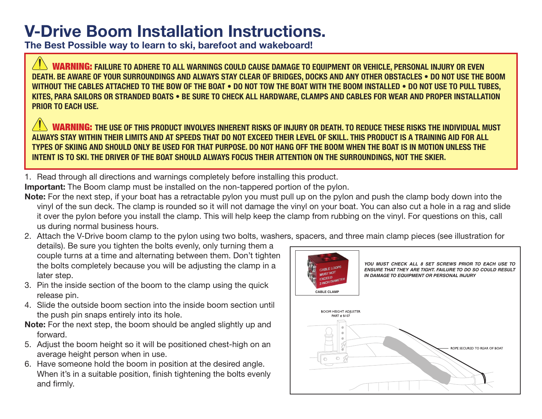## **V-Drive Boom Installation Instructions.**

**The Best Possible way to learn to ski, barefoot and wakeboard!**

**WARNING:** FAILURE TO ADHERE TO ALL WARNINGS COULD CAUSE DAMAGE TO EQUIPMENT OR VEHICLE, PERSONAL INJURY OR EVEN **DEATH. BE AWARE OF YOUR SURROUNDINGS AND ALWAYS STAY CLEAR OF BRIDGES, DOCKS AND ANY OTHER OBSTACLES . DO NOT USE THE BOOM WITHOUT THE CABLES ATTACHED TO THE BOW OF THE BOAT . DO NOT TOW THE BOAT WITH THE BOOM INSTALLED . DO NOT USE TO PULL TUBES.** KITES, PARA SAILORS OR STRANDED BOATS • BE SURE TO CHECK ALL HARDWARE, CLAMPS AND CABLES FOR WEAR AND PROPER INSTALLATION **PRIOR TO EACH USE.** 

**WARNING:** the use of this product involves inherent risks of injury or death. To reduce these risks the individual must ALWAYS STAY WITHIN THEIR LIMITS AND AT SPEEDS THAT DO NOT EXCEED THEIR LEVEL OF SKILL. THIS PRODUCT IS A TRAINING AID FOR ALL **490 TYPES OF SKIING AND SHOULD ONLY BE USED FOR THAT PURPOSE. DO NOT HANG OFF THE BOOM WHEN THE BOAT IS IN MOTION UNLESS THE** INTENT IS TO SKI. THE DRIVER OF THE BOAT SHOULD ALWAYS FOCUS THEIR ATTENTION ON THE SURROUNDINGS, NOT THE SKIER.

1. Read through all directions and warnings completely before installing this product.

**Important:** The Boom clamp must be installed on the non-tappered portion of the pylon.

- **Note:** For the next step, if your boat has a retractable pylon you must pull up on the pylon and push the clamp body down into the vinyl of the sun deck. The clamp is rounded so it will not damage the vinyl on your boat. You can also cut a hole in a rag and slide it over the pylon before you install the clamp. This will help keep the clamp from rubbing on the vinyl. For questions on this, call us during normal business hours.
- 2. Attach the V-Drive boom clamp to the pylon using two bolts, washers, spacers, and three main clamp pieces (see illustration for details). Be sure you tighten the bolts evenly, only turning them a couple turns at a time and alternating between them. Don't tighten the bolts completely because you will be adjusting the clamp in a CABLE LOOPS MUST NOT later step. **IN DAMAGE TO EQUIPMENT OR PERSONAL INJURY**
- 3. Pin the inside section of the boom to the clamp using the quick release pin.
- 4. Slide the outside boom section into the inside boom section until the push pin snaps entirely into its hole.
- **Note:** For the next step, the boom should be angled slightly up and forward.
- 5. Adjust the boom height so it will be positioned chest-high on an average height person when in use.
- 6. Have someone hold the boom in position at the desired angle. When it's in a suitable position, finish tightening the bolts evenly and firmly.